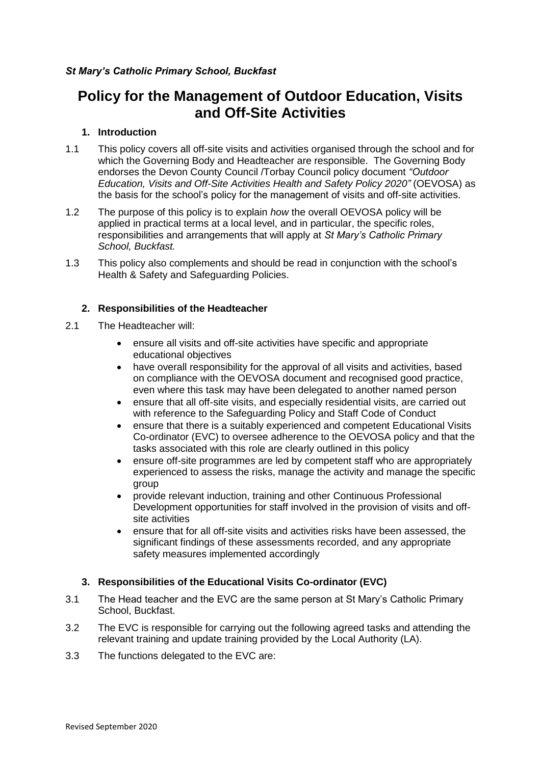# **Policy for the Management of Outdoor Education, Visits and Off-Site Activities**

# **1. Introduction**

- 1.1 This policy covers all off-site visits and activities organised through the school and for which the Governing Body and Headteacher are responsible. The Governing Body endorses the Devon County Council /Torbay Council policy document *"Outdoor Education, Visits and Off-Site Activities Health and Safety Policy 2020"* (OEVOSA) as the basis for the school's policy for the management of visits and off-site activities.
- 1.2 The purpose of this policy is to explain *how* the overall OEVOSA policy will be applied in practical terms at a local level, and in particular, the specific roles, responsibilities and arrangements that will apply at *St Mary's Catholic Primary School, Buckfast.*
- 1.3 This policy also complements and should be read in conjunction with the school's Health & Safety and Safeguarding Policies.

# **2. Responsibilities of the Headteacher**

- 2.1 The Headteacher will:
	- ensure all visits and off-site activities have specific and appropriate educational objectives
	- have overall responsibility for the approval of all visits and activities, based on compliance with the OEVOSA document and recognised good practice, even where this task may have been delegated to another named person
	- ensure that all off-site visits, and especially residential visits, are carried out with reference to the Safeguarding Policy and Staff Code of Conduct
	- ensure that there is a suitably experienced and competent Educational Visits Co-ordinator (EVC) to oversee adherence to the OEVOSA policy and that the tasks associated with this role are clearly outlined in this policy
	- ensure off-site programmes are led by competent staff who are appropriately experienced to assess the risks, manage the activity and manage the specific group
	- provide relevant induction, training and other Continuous Professional Development opportunities for staff involved in the provision of visits and offsite activities
	- ensure that for all off-site visits and activities risks have been assessed, the significant findings of these assessments recorded, and any appropriate safety measures implemented accordingly

# **3. Responsibilities of the Educational Visits Co-ordinator (EVC)**

- 3.1 The Head teacher and the EVC are the same person at St Mary's Catholic Primary School, Buckfast.
- 3.2 The EVC is responsible for carrying out the following agreed tasks and attending the relevant training and update training provided by the Local Authority (LA).
- 3.3 The functions delegated to the EVC are: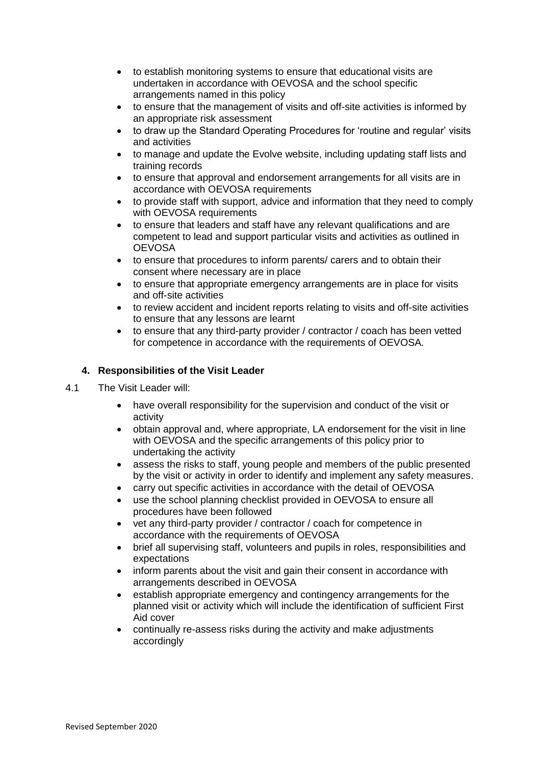- to establish monitoring systems to ensure that educational visits are undertaken in accordance with OEVOSA and the school specific arrangements named in this policy
- to ensure that the management of visits and off-site activities is informed by an appropriate risk assessment
- to draw up the Standard Operating Procedures for 'routine and regular' visits and activities
- to manage and update the Evolve website, including updating staff lists and training records
- to ensure that approval and endorsement arrangements for all visits are in accordance with OEVOSA requirements
- to provide staff with support, advice and information that they need to comply with OEVOSA requirements
- to ensure that leaders and staff have any relevant qualifications and are competent to lead and support particular visits and activities as outlined in **OEVOSA**
- to ensure that procedures to inform parents/ carers and to obtain their consent where necessary are in place
- to ensure that appropriate emergency arrangements are in place for visits and off-site activities
- to review accident and incident reports relating to visits and off-site activities to ensure that any lessons are learnt
- to ensure that any third-party provider / contractor / coach has been vetted for competence in accordance with the requirements of OEVOSA*.*

## **4. Responsibilities of the Visit Leader**

- 4.1 The Visit Leader will:
	- have overall responsibility for the supervision and conduct of the visit or activity
	- obtain approval and, where appropriate, LA endorsement for the visit in line with OEVOSA and the specific arrangements of this policy prior to undertaking the activity
	- assess the risks to staff, young people and members of the public presented by the visit or activity in order to identify and implement any safety measures.
	- carry out specific activities in accordance with the detail of OEVOSA
	- use the school planning checklist provided in OEVOSA to ensure all procedures have been followed
	- vet any third-party provider / contractor / coach for competence in accordance with the requirements of OEVOSA
	- brief all supervising staff, volunteers and pupils in roles, responsibilities and expectations
	- inform parents about the visit and gain their consent in accordance with arrangements described in OEVOSA
	- establish appropriate emergency and contingency arrangements for the planned visit or activity which will include the identification of sufficient First Aid cover
	- continually re-assess risks during the activity and make adjustments accordingly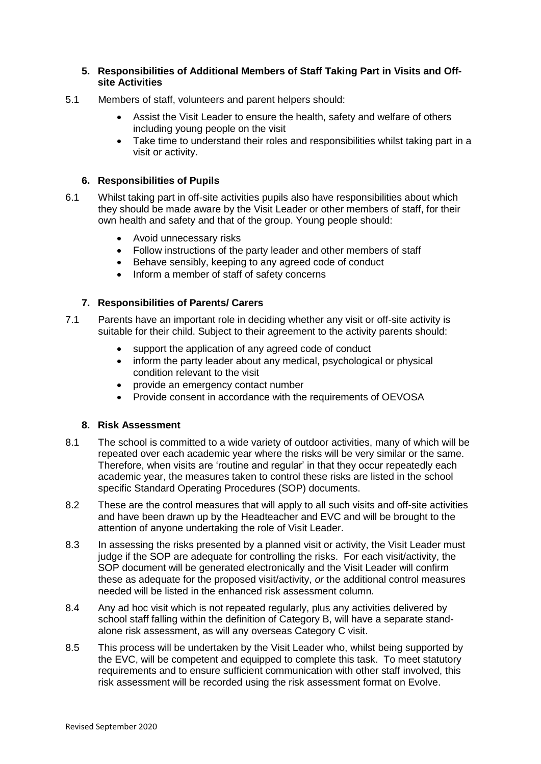### **5. Responsibilities of Additional Members of Staff Taking Part in Visits and Offsite Activities**

- 5.1 Members of staff, volunteers and parent helpers should:
	- Assist the Visit Leader to ensure the health, safety and welfare of others including young people on the visit
	- Take time to understand their roles and responsibilities whilst taking part in a visit or activity.

### **6. Responsibilities of Pupils**

- 6.1 Whilst taking part in off-site activities pupils also have responsibilities about which they should be made aware by the Visit Leader or other members of staff, for their own health and safety and that of the group. Young people should:
	- Avoid unnecessary risks
	- Follow instructions of the party leader and other members of staff
	- Behave sensibly, keeping to any agreed code of conduct
	- Inform a member of staff of safety concerns

#### **7. Responsibilities of Parents/ Carers**

- 7.1 Parents have an important role in deciding whether any visit or off-site activity is suitable for their child. Subject to their agreement to the activity parents should:
	- support the application of any agreed code of conduct
	- inform the party leader about any medical, psychological or physical condition relevant to the visit
	- provide an emergency contact number
	- Provide consent in accordance with the requirements of OEVOSA

## **8. Risk Assessment**

- 8.1 The school is committed to a wide variety of outdoor activities, many of which will be repeated over each academic year where the risks will be very similar or the same. Therefore, when visits are 'routine and regular' in that they occur repeatedly each academic year, the measures taken to control these risks are listed in the school specific Standard Operating Procedures (SOP) documents.
- 8.2 These are the control measures that will apply to all such visits and off-site activities and have been drawn up by the Headteacher and EVC and will be brought to the attention of anyone undertaking the role of Visit Leader.
- 8.3 In assessing the risks presented by a planned visit or activity, the Visit Leader must judge if the SOP are adequate for controlling the risks. For each visit/activity, the SOP document will be generated electronically and the Visit Leader will confirm these as adequate for the proposed visit/activity, *or* the additional control measures needed will be listed in the enhanced risk assessment column.
- 8.4 Any ad hoc visit which is not repeated regularly, plus any activities delivered by school staff falling within the definition of Category B, will have a separate standalone risk assessment, as will any overseas Category C visit.
- 8.5 This process will be undertaken by the Visit Leader who, whilst being supported by the EVC, will be competent and equipped to complete this task. To meet statutory requirements and to ensure sufficient communication with other staff involved, this risk assessment will be recorded using the risk assessment format on Evolve.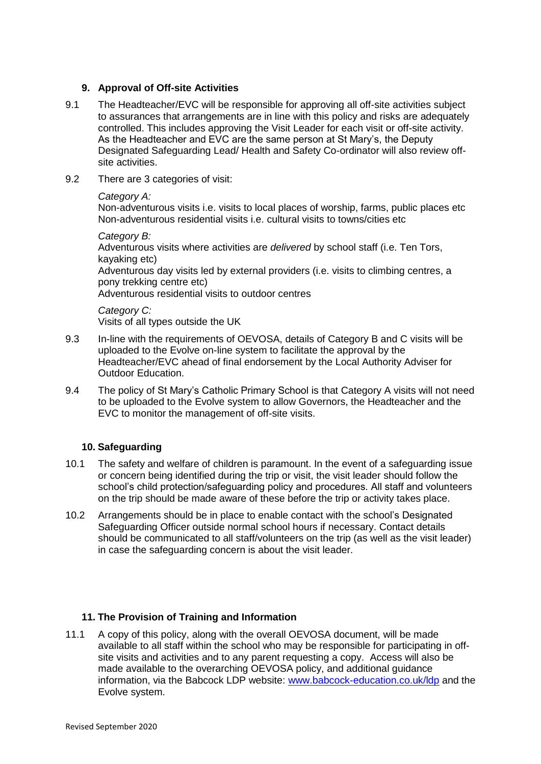## **9. Approval of Off-site Activities**

- 9.1 The Headteacher/EVC will be responsible for approving all off-site activities subject to assurances that arrangements are in line with this policy and risks are adequately controlled. This includes approving the Visit Leader for each visit or off-site activity. As the Headteacher and EVC are the same person at St Mary's, the Deputy Designated Safeguarding Lead/ Health and Safety Co-ordinator will also review offsite activities.
- 9.2 There are 3 categories of visit:

## *Category A:*

Non-adventurous visits i.e. visits to local places of worship, farms, public places etc Non-adventurous residential visits i.e. cultural visits to towns/cities etc

*Category B:* Adventurous visits where activities are *delivered* by school staff (i.e. Ten Tors, kayaking etc) Adventurous day visits led by external providers (i.e. visits to climbing centres, a pony trekking centre etc)

Adventurous residential visits to outdoor centres

*Category C:* Visits of all types outside the UK

- 9.3 In-line with the requirements of OEVOSA, details of Category B and C visits will be uploaded to the Evolve on-line system to facilitate the approval by the Headteacher/EVC ahead of final endorsement by the Local Authority Adviser for Outdoor Education.
- 9.4 The policy of St Mary's Catholic Primary School is that Category A visits will not need to be uploaded to the Evolve system to allow Governors, the Headteacher and the EVC to monitor the management of off-site visits.

# **10. Safeguarding**

- 10.1 The safety and welfare of children is paramount. In the event of a safeguarding issue or concern being identified during the trip or visit, the visit leader should follow the school's child protection/safeguarding policy and procedures. All staff and volunteers on the trip should be made aware of these before the trip or activity takes place.
- 10.2 Arrangements should be in place to enable contact with the school's Designated Safeguarding Officer outside normal school hours if necessary. Contact details should be communicated to all staff/volunteers on the trip (as well as the visit leader) in case the safeguarding concern is about the visit leader.

# **11. The Provision of Training and Information**

11.1 A copy of this policy, along with the overall OEVOSA document, will be made available to all staff within the school who may be responsible for participating in offsite visits and activities and to any parent requesting a copy. Access will also be made available to the overarching OEVOSA policy, and additional guidance information, via the Babcock LDP website: [www.babcock-education.co.uk/ldp](http://www.babcock-education.co.uk/ldp) and the Evolve system.